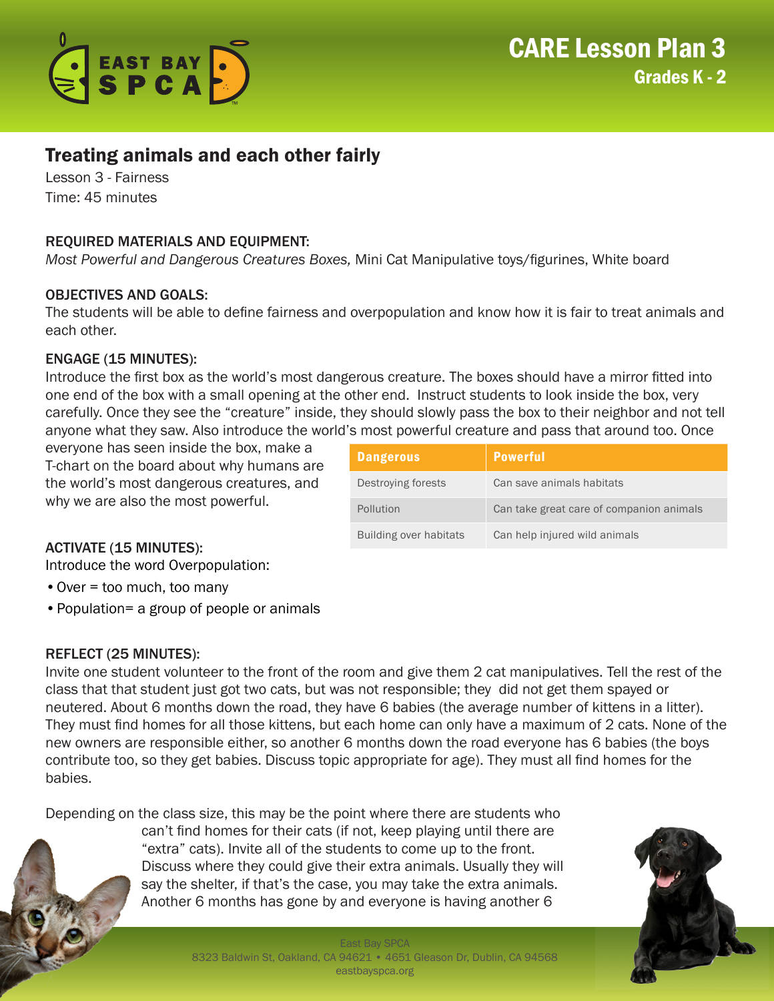

# Treating animals and each other fairly

Lesson 3 - Fairness Time: 45 minutes

### REQUIRED MATERIALS AND EQUIPMENT:

*Most Powerful and Dangerous Creatures Boxes,* Mini Cat Manipulative toys/figurines, White board

#### OBJECTIVES AND GOALS:

The students will be able to define fairness and overpopulation and know how it is fair to treat animals and each other.

#### ENGAGE (15 MINUTES):

Introduce the first box as the world's most dangerous creature. The boxes should have a mirror fitted into one end of the box with a small opening at the other end. Instruct students to look inside the box, very carefully. Once they see the "creature" inside, they should slowly pass the box to their neighbor and not tell anyone what they saw. Also introduce the world's most powerful creature and pass that around too. Once

everyone has seen inside the box, make a T-chart on the board about why humans are the world's most dangerous creatures, and why we are also the most powerful.

| <b>Dangerous</b>       | <b>Powerful</b>                          |
|------------------------|------------------------------------------|
| Destroying forests     | Can save animals habitats                |
| Pollution              | Can take great care of companion animals |
| Building over habitats | Can help injured wild animals            |

# ACTIVATE (15 MINUTES):

Introduce the word Overpopulation:

- •Over = too much, too many
- •Population= a group of people or animals

#### REFLECT (25 MINUTES):

Invite one student volunteer to the front of the room and give them 2 cat manipulatives. Tell the rest of the class that that student just got two cats, but was not responsible; they did not get them spayed or neutered. About 6 months down the road, they have 6 babies (the average number of kittens in a litter). They must find homes for all those kittens, but each home can only have a maximum of 2 cats. None of the new owners are responsible either, so another 6 months down the road everyone has 6 babies (the boys contribute too, so they get babies. Discuss topic appropriate for age). They must all find homes for the babies.

Depending on the class size, this may be the point where there are students who



can't find homes for their cats (if not, keep playing until there are "extra" cats). Invite all of the students to come up to the front. Discuss where they could give their extra animals. Usually they will say the shelter, if that's the case, you may take the extra animals. Another 6 months has gone by and everyone is having another 6